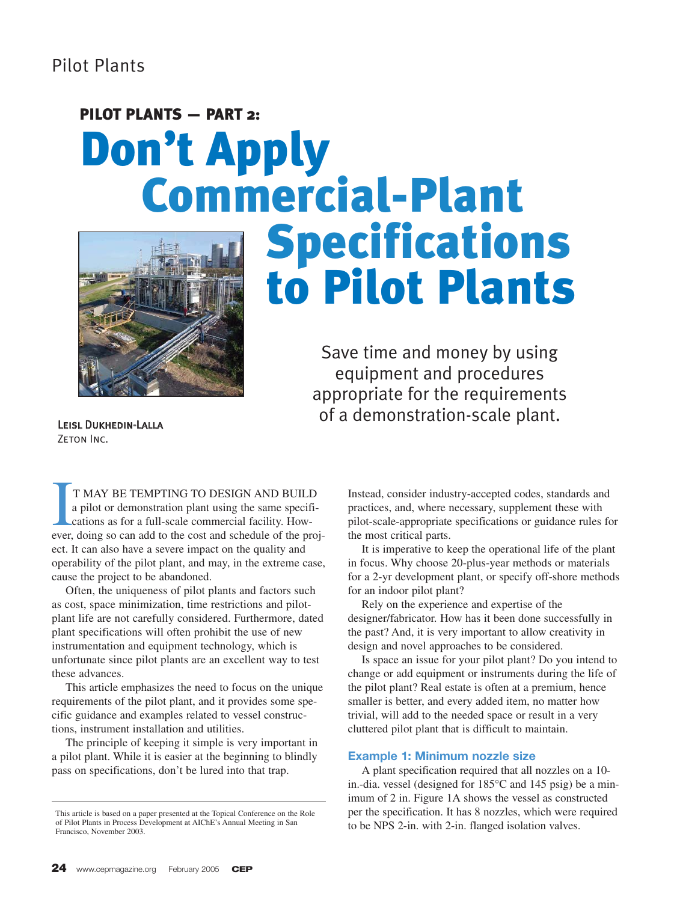# PILOT PLANTS - PART 2: Don't Apply<br>Commercial-Plant



# Specifications to Pilot Plants

Save time and money by using equipment and procedures appropriate for the requirements of a demonstration-scale plant.

Leisl Dukhedin-Lalla ZETON INC.

T MAY BE TEMPTING TO DESIGN AND BUILD<br>a pilot or demonstration plant using the same specifi-<br>cations as for a full-scale commercial facility. How-<br>ever, doing so can add to the cost and schedule of the proj-T MAY BE TEMPTING TO DESIGN AND BUILD a pilot or demonstration plant using the same specifications as for a full-scale commercial facility. Howect. It can also have a severe impact on the quality and operability of the pilot plant, and may, in the extreme case, cause the project to be abandoned.

Often, the uniqueness of pilot plants and factors such as cost, space minimization, time restrictions and pilotplant life are not carefully considered. Furthermore, dated plant specifications will often prohibit the use of new instrumentation and equipment technology, which is unfortunate since pilot plants are an excellent way to test these advances.

This article emphasizes the need to focus on the unique requirements of the pilot plant, and it provides some specific guidance and examples related to vessel constructions, instrument installation and utilities.

The principle of keeping it simple is very important in a pilot plant. While it is easier at the beginning to blindly pass on specifications, don't be lured into that trap.

Instead, consider industry-accepted codes, standards and practices, and, where necessary, supplement these with pilot-scale-appropriate specifications or guidance rules for the most critical parts.

It is imperative to keep the operational life of the plant in focus. Why choose 20-plus-year methods or materials for a 2-yr development plant, or specify off-shore methods for an indoor pilot plant?

Rely on the experience and expertise of the designer/fabricator. How has it been done successfully in the past? And, it is very important to allow creativity in design and novel approaches to be considered.

Is space an issue for your pilot plant? Do you intend to change or add equipment or instruments during the life of the pilot plant? Real estate is often at a premium, hence smaller is better, and every added item, no matter how trivial, will add to the needed space or result in a very cluttered pilot plant that is difficult to maintain.

# **Example 1: Minimum nozzle size**

A plant specification required that all nozzles on a 10 in.-dia. vessel (designed for 185°C and 145 psig) be a minimum of 2 in. Figure 1A shows the vessel as constructed per the specification. It has 8 nozzles, which were required to be NPS 2-in. with 2-in. flanged isolation valves.

This article is based on a paper presented at the Topical Conference on the Role of Pilot Plants in Process Development at AIChE's Annual Meeting in San Francisco, November 2003.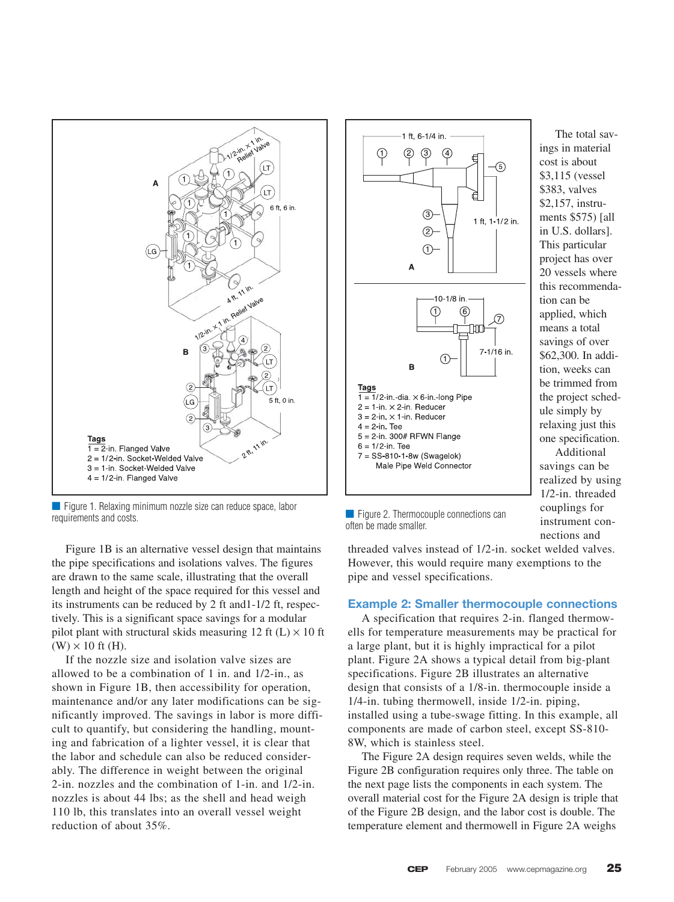

■ Figure 1. Relaxing minimum nozzle size can reduce space, labor requirements and costs. Thermocouple connections can be can be connected by the connections of the Figure 2. Thermocouple connections can requirements and costs.

Figure 1B is an alternative vessel design that maintains the pipe specifications and isolations valves. The figures are drawn to the same scale, illustrating that the overall length and height of the space required for this vessel and its instruments can be reduced by 2 ft and1-1/2 ft, respectively. This is a significant space savings for a modular pilot plant with structural skids measuring 12 ft  $(L) \times 10$  ft  $(W) \times 10$  ft (H).

If the nozzle size and isolation valve sizes are allowed to be a combination of 1 in. and 1/2-in., as shown in Figure 1B, then accessibility for operation, maintenance and/or any later modifications can be significantly improved. The savings in labor is more difficult to quantify, but considering the handling, mounting and fabrication of a lighter vessel, it is clear that the labor and schedule can also be reduced considerably. The difference in weight between the original 2-in. nozzles and the combination of 1-in. and 1/2-in. nozzles is about 44 lbs; as the shell and head weigh 110 lb, this translates into an overall vessel weight reduction of about 35%.



The total savings in material cost is about \$3,115 (vessel \$383, valves \$2,157, instruments \$575) [all in U.S. dollars]. This particular project has over 20 vessels where this recommendation can be applied, which means a total savings of over \$62,300. In addition, weeks can be trimmed from the project schedule simply by relaxing just this one specification.

Additional savings can be realized by using 1/2-in. threaded couplings for instrument connections and

often be made smaller.

threaded valves instead of 1/2-in. socket welded valves. However, this would require many exemptions to the pipe and vessel specifications.

#### **Example 2: Smaller thermocouple connections**

A specification that requires 2-in. flanged thermowells for temperature measurements may be practical for a large plant, but it is highly impractical for a pilot plant. Figure 2A shows a typical detail from big-plant specifications. Figure 2B illustrates an alternative design that consists of a 1/8-in. thermocouple inside a 1/4-in. tubing thermowell, inside 1/2-in. piping, installed using a tube-swage fitting. In this example, all components are made of carbon steel, except SS-810- 8W, which is stainless steel.

The Figure 2A design requires seven welds, while the Figure 2B configuration requires only three. The table on the next page lists the components in each system. The overall material cost for the Figure 2A design is triple that of the Figure 2B design, and the labor cost is double. The temperature element and thermowell in Figure 2A weighs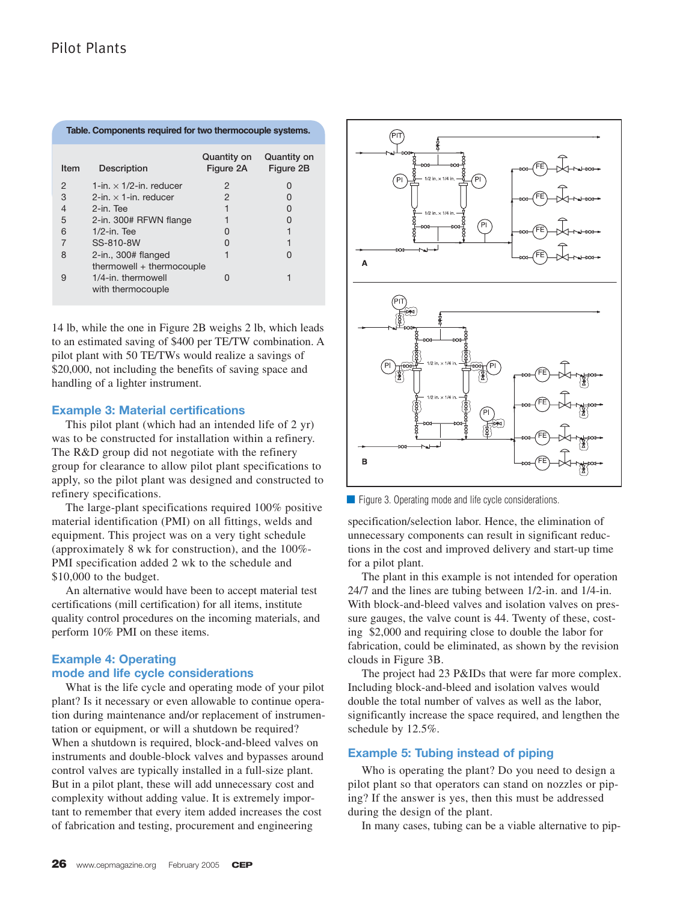| Table. Components required for two thermocouple systems. |                                                                      |                          |                          |
|----------------------------------------------------------|----------------------------------------------------------------------|--------------------------|--------------------------|
| Item                                                     | Description                                                          | Quantity on<br>Figure 2A | Quantity on<br>Figure 2B |
| $\mathcal{P}$                                            | 1-in. $\times$ 1/2-in. reducer                                       | 2                        | $\mathbf{I}$             |
| 3                                                        | 2-in. $\times$ 1-in. reducer                                         | 2                        |                          |
| $\overline{4}$                                           | 2-in. Tee                                                            |                          |                          |
| 5                                                        | 2-in. 300# RFWN flange                                               |                          |                          |
| 6                                                        | $1/2$ -in. Tee                                                       | O                        |                          |
| 7                                                        | SS-810-8W                                                            | $\mathbf{I}$             |                          |
| 8                                                        | $2$ -in., 300# flanged                                               | 1                        |                          |
| 9                                                        | thermowell + thermocouple<br>1/4-in. thermowell<br>with thermocouple | 0                        |                          |

14 lb, while the one in Figure 2B weighs 2 lb, which leads to an estimated saving of \$400 per TE/TW combination. A pilot plant with 50 TE/TWs would realize a savings of \$20,000, not including the benefits of saving space and handling of a lighter instrument.

### **Example 3: Material certifications**

This pilot plant (which had an intended life of 2 yr) was to be constructed for installation within a refinery. The R&D group did not negotiate with the refinery group for clearance to allow pilot plant specifications to apply, so the pilot plant was designed and constructed to refinery specifications.

The large-plant specifications required 100% positive material identification (PMI) on all fittings, welds and equipment. This project was on a very tight schedule (approximately 8 wk for construction), and the 100%- PMI specification added 2 wk to the schedule and \$10,000 to the budget.

An alternative would have been to accept material test certifications (mill certification) for all items, institute quality control procedures on the incoming materials, and perform 10% PMI on these items.

# **Example 4: Operating mode and life cycle considerations**

What is the life cycle and operating mode of your pilot plant? Is it necessary or even allowable to continue operation during maintenance and/or replacement of instrumentation or equipment, or will a shutdown be required? When a shutdown is required, block-and-bleed valves on instruments and double-block valves and bypasses around control valves are typically installed in a full-size plant. But in a pilot plant, these will add unnecessary cost and complexity without adding value. It is extremely important to remember that every item added increases the cost of fabrication and testing, procurement and engineering



■ Figure 3. Operating mode and life cycle considerations.

specification/selection labor. Hence, the elimination of unnecessary components can result in significant reductions in the cost and improved delivery and start-up time for a pilot plant.

The plant in this example is not intended for operation 24/7 and the lines are tubing between 1/2-in. and 1/4-in. With block-and-bleed valves and isolation valves on pressure gauges, the valve count is 44. Twenty of these, costing \$2,000 and requiring close to double the labor for fabrication, could be eliminated, as shown by the revision clouds in Figure 3B.

The project had 23 P&IDs that were far more complex. Including block-and-bleed and isolation valves would double the total number of valves as well as the labor, significantly increase the space required, and lengthen the schedule by 12.5%.

# **Example 5: Tubing instead of piping**

Who is operating the plant? Do you need to design a pilot plant so that operators can stand on nozzles or piping? If the answer is yes, then this must be addressed during the design of the plant.

In many cases, tubing can be a viable alternative to pip-